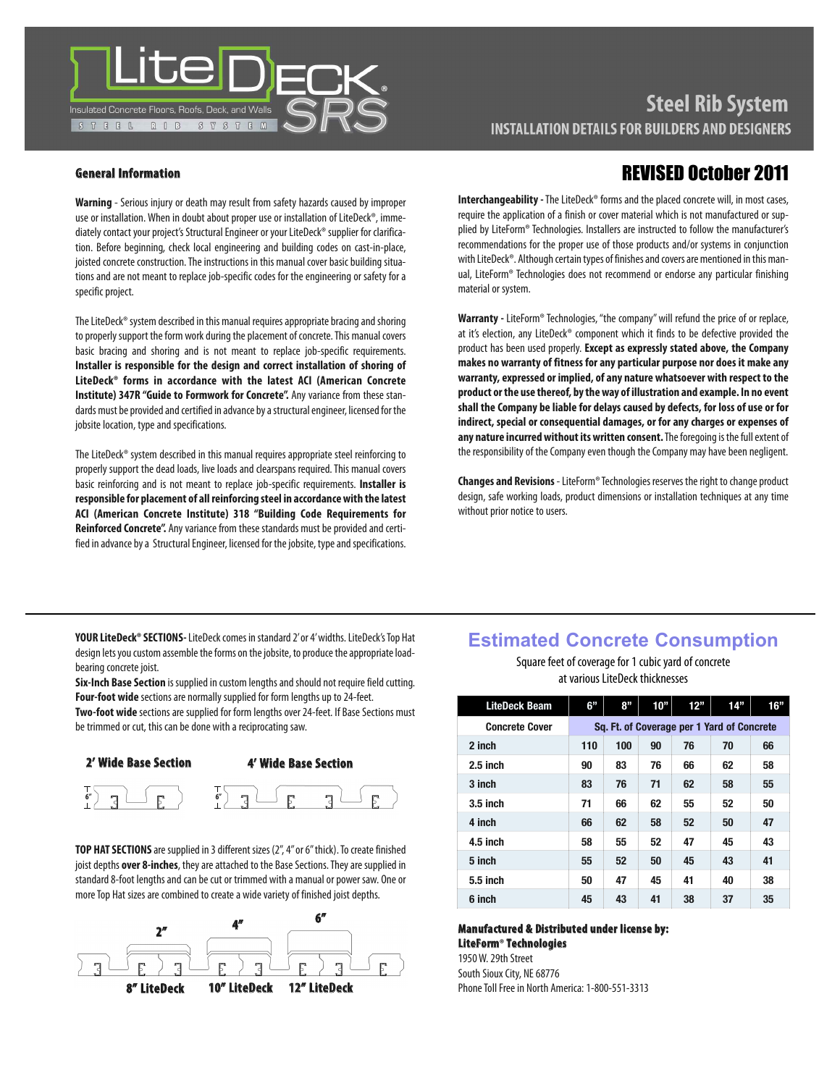

### **General Information**

**Warning** - Serious injury or death may result from safety hazards caused by improper use or installation. When in doubt about proper use or installation of LiteDeck®, immediately contact your project's Structural Engineer or your LiteDeck® supplier for clarification. Before beginning, check local engineering and building codes on cast-in-place, joisted concrete construction. The instructions in this manual cover basic building situations and are not meant to replace job-specific codes for the engineering or safety for a specific project.

The LiteDeck<sup>®</sup> system described in this manual requires appropriate bracing and shoring to properly support the form work during the placement of concrete. This manual covers basic bracing and shoring and is not meant to replace job-specific requirements. **Installer is responsible for the design and correct installation of shoring of LiteDeck® forms in accordance with the latest ACI (American Concrete Institute) 347R "Guide to Formwork for Concrete".** Any variance from these standards must be provided and certified in advance by a structural engineer, licensed for the jobsite location, type and specifications.

The LiteDeck® system described in this manual requires appropriate steel reinforcing to properly support the dead loads, live loads and clearspans required. This manual covers basic reinforcing and is not meant to replace job-specific requirements. **Installer is responsible for placement of all reinforcing steel in accordancewith the latest ACI (American Concrete Institute) 318 "Building Code Requirements for** Reinforced Concrete". Any variance from these standards must be provided and certified in advance by a Structural Engineer, licensed for the jobsite, type and specifications.

# REVISED October 2011

**Interchangeability** - The LiteDeck® forms and the placed concrete will, in most cases, require the application of a finish or cover material which is not manufactured or supplied by LiteForm® Technologies. Installers are instructed to follow the manufacturer's recommendations for the proper use of those products and/or systems in conjunction with LiteDeck®. Although certain types of finishes and covers are mentioned in this manual, LiteForm® Technologies does not recommend or endorse any particular finishing material or system.

**Warranty -** LiteForm®Technologies,"the company"will refund the price of or replace, at it's election, any LiteDeck® component which it finds to be defective provided the product has been used properly. **Except as expressly stated above, the Company makes no warranty of fitness for any particular purpose nor does it make any warranty, expressed or implied, of any nature whatsoever with respect to the product orthe use thereof, bytheway ofillustration and example. In no event shall the Company be liable for delays caused by defects, for loss of use or for indirect, special or consequential damages, or for anycharges or expenses of** any nature incurred without its written consent. The foregoing is the full extent of the responsibility of the Company even though the Company may have been negligent.

**Changes and Revisions** - LiteForm® Technologies reserves the right to change product design, safe working loads, product dimensions or installation techniques at any time without prior notice to users.

**YOUR LiteDeck® SECTIONS-** LiteDeck comes in standard 2' or 4' widths. LiteDeck's Top Hat design lets you custom assemble the forms on the jobsite, to produce the appropriate loadbearing concrete joist.

**Six-Inch Base Section** is supplied in custom lengths and should not require field cutting. Four-foot wide sections are normally supplied for form lengths up to 24-feet.

**Two-foot wide** sections are supplied for form lengths over 24-feet. If Base Sections must be trimmed or cut, this can be done with a reciprocating saw.



**TOP HAT SECTIONS** are supplied in 3 different sizes (2", 4" or 6" thick). To create finished joist depths **over 8-inches**, they are attached to the Base Sections. They are supplied in standard 8-foot lengths and can be cut or trimmed with a manual or power saw. One or more Top Hat sizes are combined to create a wide variety of finished joist depths.



### **Estimated Concrete Consumption**

Square feet of coverage for 1 cubic yard of concrete at various LiteDeck thicknesses

| <b>LiteDeck Beam</b>  | 6"                                         | 8"  | 10" | 12" | 14" | 16" |
|-----------------------|--------------------------------------------|-----|-----|-----|-----|-----|
| <b>Concrete Cover</b> | Sq. Ft. of Coverage per 1 Yard of Concrete |     |     |     |     |     |
| 2 inch                | 110                                        | 100 | 90  | 76  | 70  | 66  |
| $2.5$ inch            | 90                                         | 83  | 76  | 66  | 62  | 58  |
| 3 inch                | 83                                         | 76  | 71  | 62  | 58  | 55  |
| $3.5$ inch            | 71                                         | 66  | 62  | 55  | 52  | 50  |
| 4 inch                | 66                                         | 62  | 58  | 52  | 50  | 47  |
| $4.5$ inch            | 58                                         | 55  | 52  | 47  | 45  | 43  |
| 5 inch                | 55                                         | 52  | 50  | 45  | 43  | 41  |
| 5.5 inch              | 50                                         | 47  | 45  | 41  | 40  | 38  |
| 6 inch                | 45                                         | 43  | 41  | 38  | 37  | 35  |

### **Manufactured & Distributed under license by: LiteForm® Technologies**

1950W.29th Street South Sioux City, NE 68776 Phone Toll Free in North America: 1-800-551-3313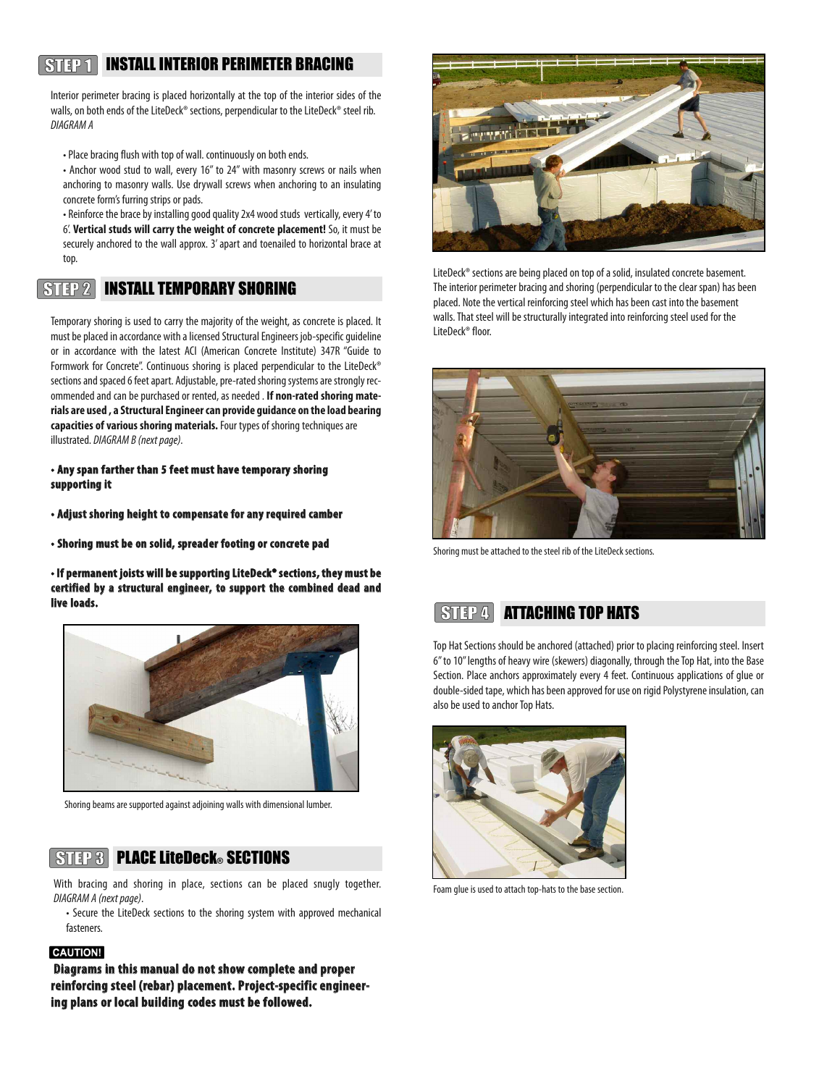### INSTALL INTERIOR PERIMETER BRACING  $STIP1$

Interior perimeter bracing is placed horizontally at the top of the interior sides of the walls, on both ends of the LiteDeck® sections, perpendicular to the LiteDeck® steel rib. DIAGRAM A

- Place bracing flush with top of wall. continuously on both ends.
- Anchor wood stud to wall, every 16" to 24" with masonry screws or nails when anchoring to masonry walls. Use drywall screws when anchoring to an insulating concrete form's furring strips or pads.

• Reinforce the brace by installing good quality 2x4 wood studs vertically, every 4' to 6'. **Vertical studs will carry the weight of concrete placement!** So, it must be securely anchored to the wall approx. 3'apart and toenailed to horizontal brace at top.

 $STFP<sub>2</sub>$ INSTALL TEMPORARY SHORING

Temporary shoring is used to carry the majority of the weight, as concrete is placed. It must be placed in accordance with a licensed Structural Engineers job-specific quideline or in accordance with the latest ACI (American Concrete Institute) 347R "Guide to Formwork for Concrete". Continuous shoring is placed perpendicular to the LiteDeck® sections and spaced 6 feet apart. Adjustable, pre-rated shoring systems are strongly recommended and can be purchased or rented, as needed . If non-rated shoring mate**rials are used , a StructuralEngineercan provide guidance on the load bearing capacities of various shoring materials.** Four types of shoring techniques are illustrated. DIAGRAM B (next page).

- **• Any span farther than 5 feet must have temporary shoring supporting it**
- **• Adjust shoring height to compensate for any required camber**
- **• Shoring must be on solid, spreader footing or concrete pad**

**• If permanent joists will be supporting LiteDeck®sections, they must be certified by a structural engineer, to support the combined dead and live loads.**



Shoring beams are supported against adjoining walls with dimensional lumber.

### $STIP3$ **PLACE LiteDeck® SECTIONS**

With bracing and shoring in place, sections can be placed snugly together. DIAGRAM A (next page).

• Secure the LiteDeck sections to the shoring system with approved mechanical fasteners.

### **CAUTION!**

**Diagrams in this manual do not show complete and proper reinforcing steel (rebar) placement. Project-specific engineering plans or local building codes must be followed.**



LiteDeck® sections are being placed on top of a solid, insulated concrete basement. The interior perimeter bracing and shoring (perpendicular to the clear span) has been placed. Note the vertical reinforcing steel which has been cast into the basement walls. That steel will be structurally integrated into reinforcing steel used for the LiteDeck<sup>®</sup> floor.



Shoring must be attached to the steel rib of the LiteDeck sections.



Top Hat Sections should be anchored (attached) prior to placing reinforcing steel. Insert 6" to 10" lengths of heavy wire (skewers) diagonally, through the Top Hat, into the Base Section. Place anchors approximately every 4 feet. Continuous applications of glue or double-sided tape, which has been approved for use on rigid Polystyrene insulation, can also be used to anchor Top Hats.



Foam glue is used to attach top-hats to the base section.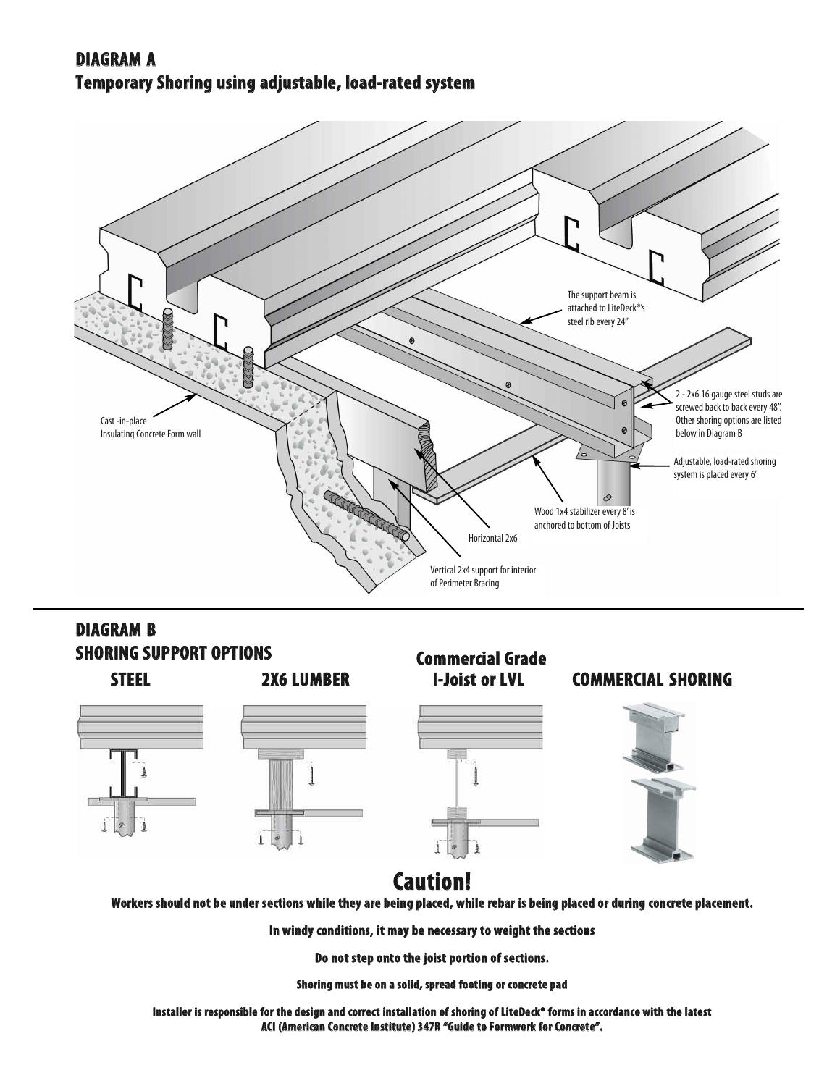# **DIAGRAM A Temporary Shoring using adjustable, load-rated system**



# **DIAGRAM B SHORING SUPPORT OPTIONS**





# **Commercial Grade**

## **STEEL 2X6 LUMBER I-Joist or LVL COMMERCIAL SHORING**





# **Caution!**

Workers should not be under sections while they are being placed, while rebar is being placed or during concrete placement.

**In windy conditions, it may be necessary to weight the sections**

**Do not step onto the joist portion of sections.**

**Shoring must be on a solid, spread footing or concrete pad**

Installer is responsible for the design and correct installation of shoring of LiteDeck® forms in accordance with the latest **ACI (American Concrete Institute) 347R "Guide to Formwork for Concrete".**